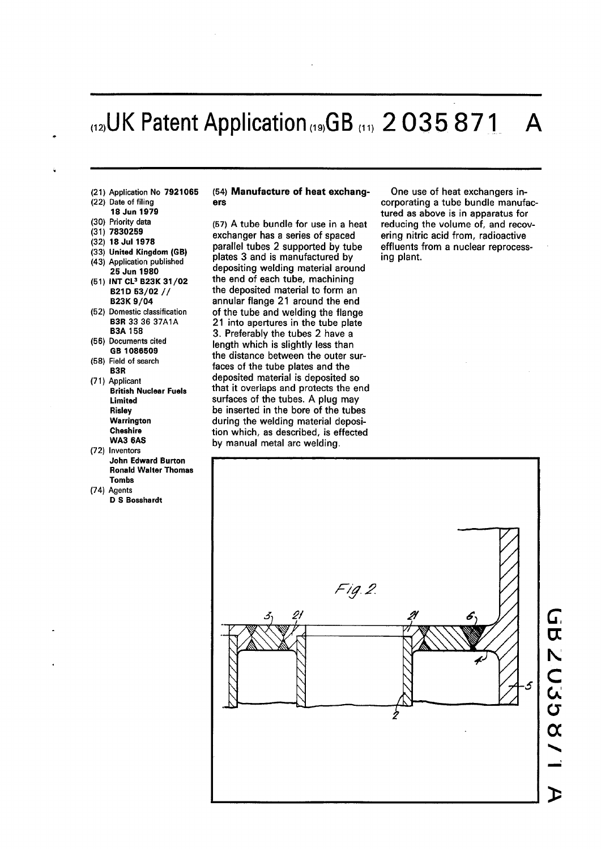# **UK Patent Application"9,GB "" 2 03 5 87 1 A**

- (21) Application No **7921065**
- (22) Date of filing
- **18 Jun 1979**
- (30) Priority data
- (31) **7830259**
- (32) **18 Jul 1978**
- (33) **United Kingdom (GB)**
- (43) Application published
- **25 Jun 1980**  (51) **INT CL<sup>3</sup> B23K 31/0 2 B21D 53/02 / / B23K 9/0 4**
- (52) Domestic classification **B3R** 33 36 37A1A **B3A 158**
- (56) Documents cited **GB 1086509**
- (58) Field of search **B3R**
- (71) Applicant **British Nuclear Fuels Limited Risley Warrington Cheshire WA3 6AS**
- (72) Inventors **John Edward Burton Ronald Walter Thomas Tombs**
- (74) Agents **D S Bosshardt**

#### (54) **Manufacture of heat exchangers**

(57) A tube bundle for use in a heat exchanger has a series of spaced parallel tubes 2 supported by tube plates 3 and is manufactured by depositing welding material around the end of each tube, machining the deposited material to form an annular flange 21 around the end of the tube and welding the flange 21 into apertures in the tube plate 3. Preferably the tubes 2 have a length which is slightly less than the distance between the outer surfaces of the tube plates and the deposited material is deposited so that it overlaps and protects the end surfaces of the tubes. A plug may be inserted in the bore of the tubes during the welding material deposition which, as described, is effected by manual metal arc welding.

One use of heat exchangers incorporating a tube bundle manufactured as above is in apparatus for reducing the volume of, and recovering nitric acid from, radioactive effluents from a nuclear reprocessing plant.

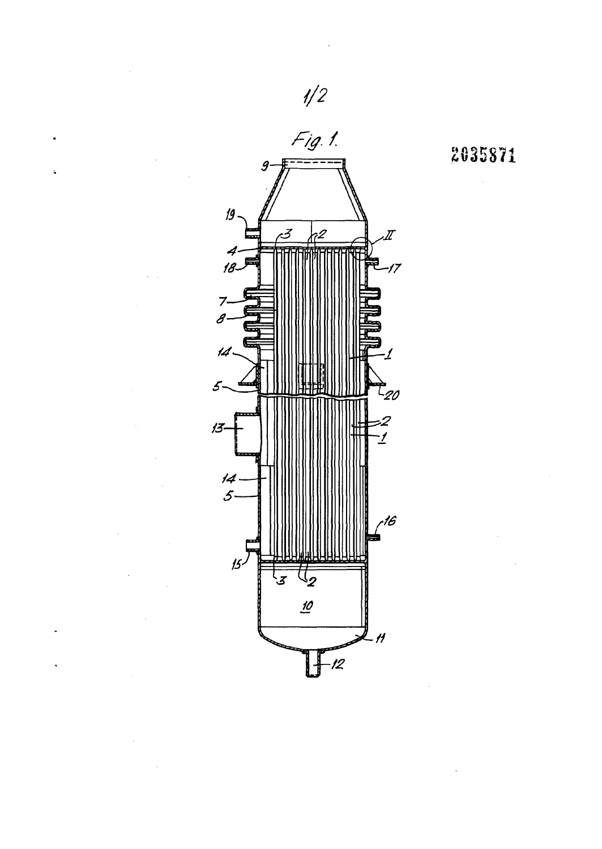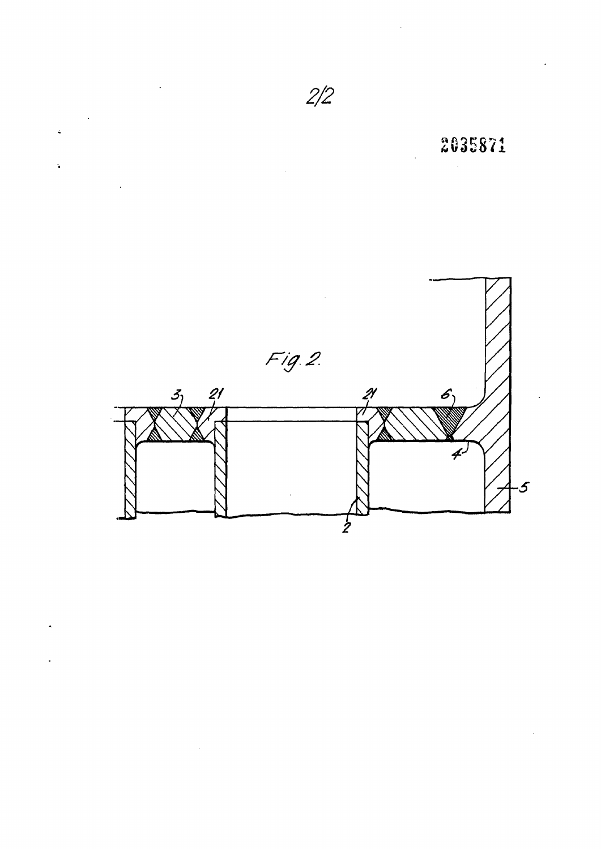

 $\ddot{\phantom{0}}$ 

 $\hat{\mathcal{A}}$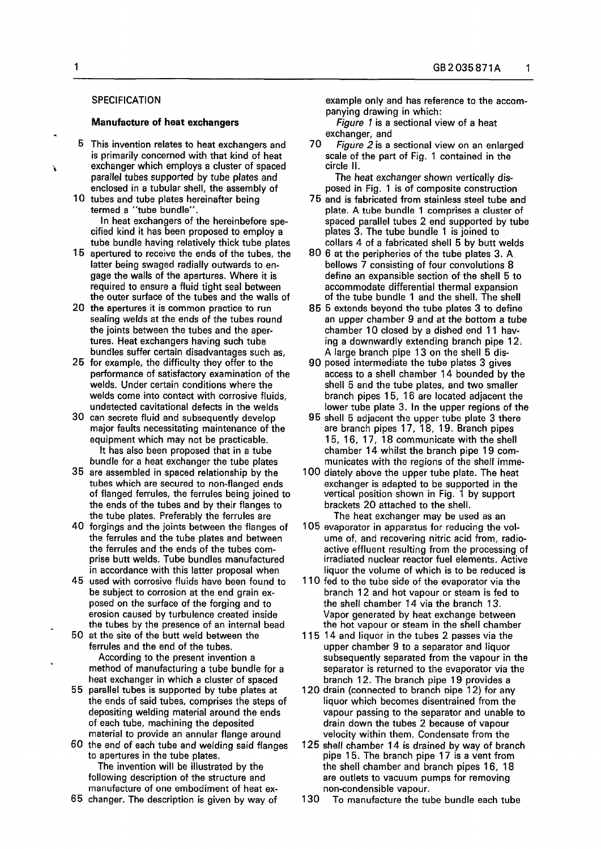## **SPECIFICATION**

#### **Manufacture of heat exchangers**

- 5 This invention relates to heat exchangers and is primarily concerned with that kind of heat exchanger which employs a cluster of spaced parallel tubes supported by tube plates and enclosed in a tubular shell, the assembly of
- 10 tubes and tube plates hereinafter being termed a "tube bundle". In heat exchangers of the hereinbefore specified kind it has been proposed to employ a tube bundle having relatively thick tube plates
- 15 apertured to receive the ends of the tubes, the latter being swaged radially outwards to engage the walls of the apertures. Where it is required to ensure a fluid tight seal between the outer surface of the tubes and the walls of
- 20 the apertures it is common practice to run sealing welds at the ends of the tubes round the joints between the tubes and the apertures. Heat exchangers having such tube bundles suffer certain disadvantages such as,
- 25 for example, the difficulty they offer to the performance of satisfactory examination of the welds. Under certain conditions where the welds come into contact with corrosive fluids, undetected cavitational defects in the welds
- 30 can secrete fluid and subsequently develop major faults necessitating maintenance of the equipment which may not be practicable. It has also been proposed that in a tube bundle for a heat exchanger the tube plates
- 35 are assembled in spaced relationship by the tubes which are secured to non-flanged ends of flanged ferrules, the ferrules being joined to the ends of the tubes and by their flanges to the tube plates. Preferably the ferrules are
- 40 forgings and the joints between the flanges of the ferrules and the tube plates and between the ferrules and the ends of the tubes comprise butt welds. Tube bundles manufactured in accordance with this latter proposal when
- 45 used with corrosive fluids have been found to be subject to corrosion at the end grain exposed on the surface of the forging and to erosion caused by turbulence created inside the tubes by the presence of an internal bead
- 50 at the site of the butt weld between the ferrules and the end of the tubes. According to the present invention a method of manufacturing a tube bundle for a heat exchanger in which a cluster of spaced
- 55 parallel tubes is supported by tube plates at the ends of said tubes, comprises the steps of depositing welding material around the ends of each tube, machining the deposited material to provide an annular flange around
- 60 the end of each tube and welding said flanges to apertures in the tube plates. The invention will be illustrated by the following description of the structure and manufacture of one embodiment of heat ex-
- 65 changer. The description is given by way of

example only and has reference to the accompanying drawing in which:

*Figure* 7 is a sectional view of a heat exchanger, and

70 *Figure 2* is a sectional view on an enlarged scale of the part of Fig. 1 contained in the circle II.

The heat exchanger shown vertically disposed in Fig. 1 is of composite construction

- 75 and is fabricated from stainless steel tube and plate. A tube bundle 1 comprises a cluster of spaced parallel tubes 2 end supported by tube plates 3. The tube bundle 1 is joined to collars 4 of a fabricated shell 5 by butt welds
- 80 6 at the peripheries of the tube plates 3. A bellows 7 consisting of four convolutions 8 define an expansible section of the shell 5 to accommodate differential thermal expansion of the tube bundle 1 and the shell. The shell
- 85 5 extends beyond the tube plates 3 to define an upper chamber 9 and at the bottom a tube chamber 10 closed by a dished end 11 having a downwardly extending branch pipe 12. A large branch pipe 13 on the shell 5 dis-
- 90 posed intermediate the tube plates 3 gives access to a shell chamber 14 bounded by the shell 5 and the tube plates, and two smaller branch pipes 15, 16 are located adjacent the lower tube plate 3. In the upper regions of the
- 95 shell 5 adjacent the upper tube plate 3 there are branch pipes 17, 18, 19. Branch pipes 15, 16, 17, 18 communicate with the shell chamber 14 whilst the branch pipe 19 communicates with the regions of the shell imme-
- 100 diately above the upper tube plate. The heat exchanger is adapted to be supported in the vertical position shown in Fig. 1 by support brackets 20 attached to the shell. The heat exchanger may be used as an
- 105 evaporator in apparatus for reducing the volume of, and recovering nitric acid from, radioactive effluent resulting from the processing of irradiated nuclear reactor fuel elements. Active liquor the volume of which is to be reduced is
- 110 fed to the tube side of the evaporator via the branch 12 and hot vapour or steam is fed to the shell chamber 14 via the branch 13. Vapor generated by heat exchange between the hot vapour or steam in the shell chamber
- 115 14 and liquor in the tubes 2 passes via the upper chamber 9 to a separator and liquor subsequently separated from the vapour in the separator is returned to the evaporator via the branch 12. The branch pipe 19 provides a
- 120 drain (connected to branch pipe 12) for any liquor which becomes disentrained from the vapour passing to the separator and unable to drain down the tubes 2 because of vapour velocity within them. Condensate from the
- 125 shell chamber 14 is drained by way of branch pipe 15. The branch pipe 17 is a vent from the shell chamber and branch pipes 16, 18 are outlets to vacuum pumps for removing non-condensible vapour.

130 To manufacture the tube bundle each tube